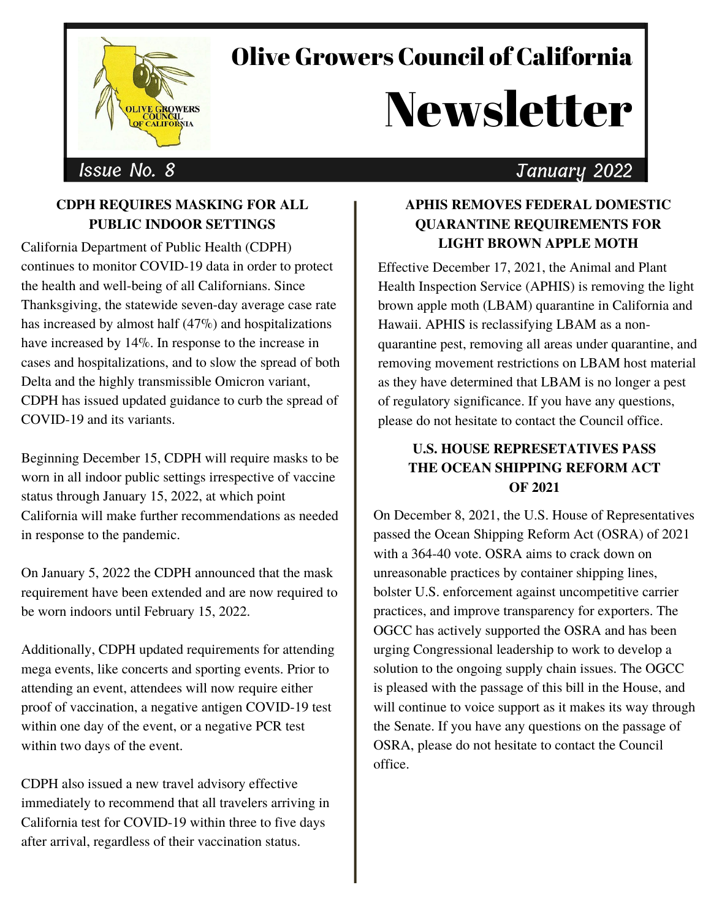

## Olive Growers Council of California

# **Newsletter**

### Issue No. 8 January 2022

#### **CDPH REQUIRES MASKING FOR ALL PUBLIC INDOOR SETTINGS**

California Department of Public Health (CDPH) continues to monitor COVID-19 data in order to protect the health and well-being of all Californians. Since Thanksgiving, the statewide seven-day average case rate has increased by almost half (47%) and hospitalizations have increased by 14%. In response to the increase in cases and hospitalizations, and to slow the spread of both Delta and the highly transmissible Omicron variant, CDPH has issued updated guidance to curb the spread of COVID-19 and its variants.

Beginning December 15, CDPH will [require](https://www.cdph.ca.gov/Programs/CID/DCDC/Pages/COVID-19/guidance-for-face-coverings.aspx) masks to be worn in all indoor public settings irrespective of vaccine status through January 15, 2022, at which point California will make further recommendations as needed in response to the pandemic.

On January 5, 2022 the CDPH announced that the mask requirement have been extended and are now required to be worn indoors until February 15, 2022.

[Additionally,](https://www.cdph.ca.gov/Programs/CID/DCDC/Pages/COVID-19/Beyond-Blueprint-Framework.aspx) CDPH updated requirements for attending mega events, like concerts and sporting events. Prior to attending an event, attendees will now require either proof of vaccination, a negative antigen COVID-19 test within one day of the event, or a negative PCR test within two days of the event.

CDPH also issued a new travel [advisory](https://www.cdph.ca.gov/Programs/CID/DCDC/Pages/COVID-19/Travel-Advisory.aspx) effective immediately to recommend that all travelers arriving in California test for COVID-19 within three to five days after arrival, regardless of their vaccination status.

#### **APHIS REMOVES FEDERAL DOMESTIC QUARANTINE REQUIREMENTS FOR LIGHT BROWN APPLE MOTH**

Effective December 17, 2021, the Animal and Plant Health Inspection Service (APHIS) is removing the light brown apple moth (LBAM) quarantine in California and Hawaii. APHIS is reclassifying LBAM as a nonquarantine pest, removing all areas under quarantine, and removing movement restrictions on LBAM host material as they have determined that LBAM is no longer a pest of regulatory significance. If you have any questions, please do not hesitate to contact the Council office.

#### **U.S. HOUSE REPRESETATIVES PASS THE OCEAN SHIPPING REFORM ACT OF 2021**

On December 8, 2021, the U.S. House of Representatives passed the Ocean Shipping Reform Act (OSRA) of 2021 with a 364-40 vote. OSRA aims to crack down on unreasonable practices by container shipping lines, bolster U.S. enforcement against uncompetitive carrier practices, and improve transparency for exporters. The OGCC has actively supported the OSRA and has been urging Congressional leadership to work to develop a solution to the ongoing supply chain issues. The OGCC is pleased with the passage of this bill in the House, and will continue to voice support as it makes its way through the Senate. If you have any questions on the passage of OSRA, please do not hesitate to contact the Council office.